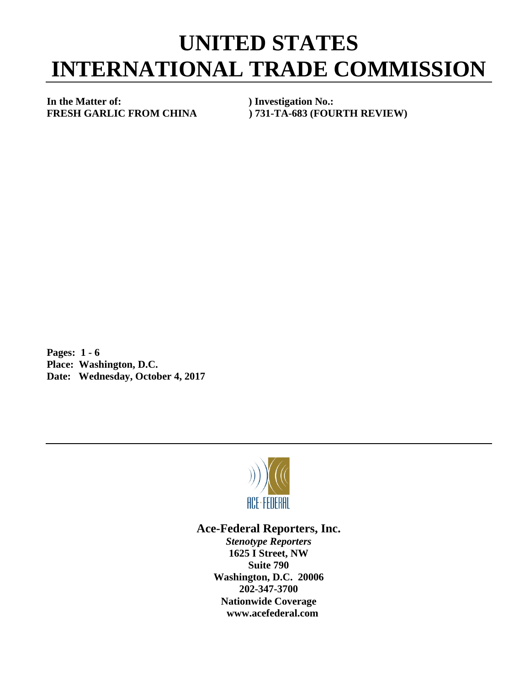## **UNITED STATES INTERNATIONAL TRADE COMMISSION**

**In the Matter of: ) Investigation No.:**

**FRESH GARLIC FROM CHINA ) 731-TA-683 (FOURTH REVIEW)**

**Pages: 1 - 6 Place: Washington, D.C. Date: Wednesday, October 4, 2017**



## **Ace-Federal Reporters, Inc.**

*Stenotype Reporters* **1625 I Street, NW Suite 790 Washington, D.C. 20006 202-347-3700 Nationwide Coverage www.acefederal.com**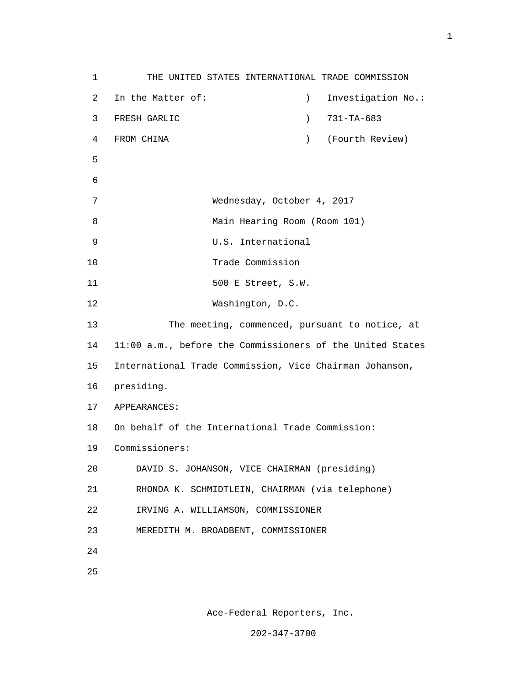1 THE UNITED STATES INTERNATIONAL TRADE COMMISSION 2 In the Matter of: ) Investigation No.: 3 FRESH GARLIC ) 731-TA-683 4 FROM CHINA ) (Fourth Review)  $5<sub>5</sub>$  6 7 Wednesday, October 4, 2017 8 Main Hearing Room (Room 101) 9 U.S. International 10 Trade Commission 11 500 E Street, S.W. 12 Washington, D.C. 13 The meeting, commenced, pursuant to notice, at 14 11:00 a.m., before the Commissioners of the United States 15 International Trade Commission, Vice Chairman Johanson, 16 presiding. 17 APPEARANCES: 18 On behalf of the International Trade Commission: 19 Commissioners: 20 DAVID S. JOHANSON, VICE CHAIRMAN (presiding) 21 RHONDA K. SCHMIDTLEIN, CHAIRMAN (via telephone) 22 IRVING A. WILLIAMSON, COMMISSIONER 23 MEREDITH M. BROADBENT, COMMISSIONER 24 <u>25</u>

Ace-Federal Reporters, Inc.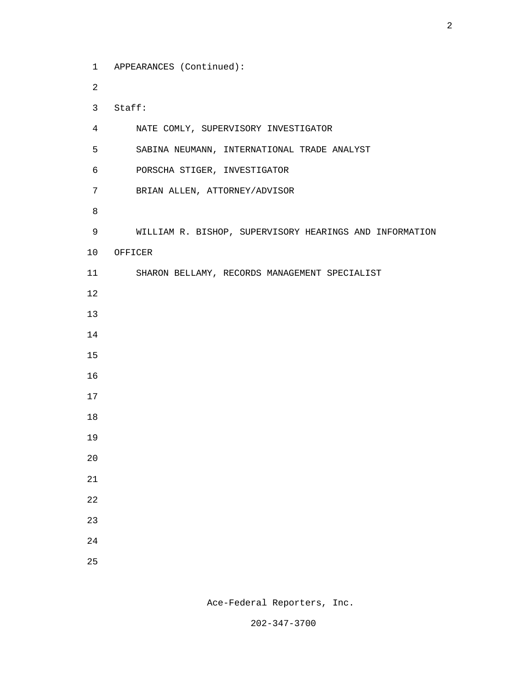1 APPEARANCES (Continued): 2 3 Staff: 4 NATE COMLY, SUPERVISORY INVESTIGATOR 5 SABINA NEUMANN, INTERNATIONAL TRADE ANALYST 6 PORSCHA STIGER, INVESTIGATOR 7 BRIAN ALLEN, ATTORNEY/ADVISOR e a seu ann an 1882. Bha an 1892 an 1892 an 1892 an 1892 an 1892. Bha an 1892 an 1892 an 1892 an 1892 an 1892 9 WILLIAM R. BISHOP, SUPERVISORY HEARINGS AND INFORMATION 10 OFFICER 11 SHARON BELLAMY, RECORDS MANAGEMENT SPECIALIST 12 13 14 15 16 17 18 19 20 21 22 23 24 <u>25</u>

Ace-Federal Reporters, Inc.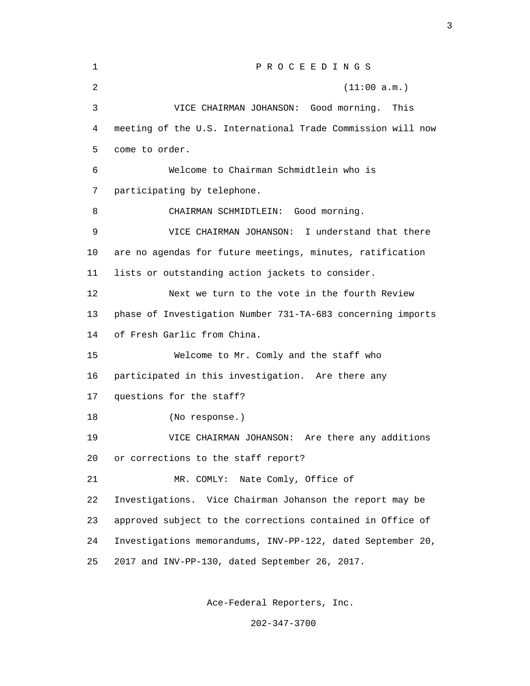| $\mathbf 1$ | PROCEEDINGS                                                 |  |  |
|-------------|-------------------------------------------------------------|--|--|
| 2           | (11:00 a.m.)                                                |  |  |
| 3           | VICE CHAIRMAN JOHANSON: Good morning.<br>This               |  |  |
| 4           | meeting of the U.S. International Trade Commission will now |  |  |
| 5           | come to order.                                              |  |  |
| 6           | Welcome to Chairman Schmidtlein who is                      |  |  |
| 7           | participating by telephone.                                 |  |  |
| 8           | CHAIRMAN SCHMIDTLEIN: Good morning.                         |  |  |
| 9           | I understand that there<br>VICE CHAIRMAN JOHANSON:          |  |  |
| 10          | are no agendas for future meetings, minutes, ratification   |  |  |
| 11          | lists or outstanding action jackets to consider.            |  |  |
| 12          | Next we turn to the vote in the fourth Review               |  |  |
| 13          | phase of Investigation Number 731-TA-683 concerning imports |  |  |
| 14          | of Fresh Garlic from China.                                 |  |  |
| 15          | Welcome to Mr. Comly and the staff who                      |  |  |
| 16          | participated in this investigation. Are there any           |  |  |
| 17          | questions for the staff?                                    |  |  |
| 18          | (No response.)                                              |  |  |
| 19          | VICE CHAIRMAN JOHANSON: Are there any additions             |  |  |
| 20          | or corrections to the staff report?                         |  |  |
| 21          | Nate Comly, Office of<br>MR. COMLY:                         |  |  |
| 22          | Investigations. Vice Chairman Johanson the report may be    |  |  |
| 23          | approved subject to the corrections contained in Office of  |  |  |
| 24          | Investigations memorandums, INV-PP-122, dated September 20, |  |  |
| 25          | 2017 and INV-PP-130, dated September 26, 2017.              |  |  |

Ace-Federal Reporters, Inc.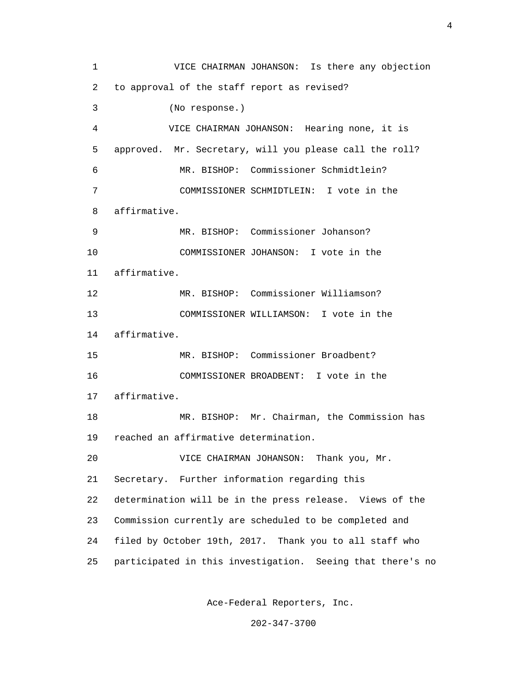1 VICE CHAIRMAN JOHANSON: Is there any objection 2 to approval of the staff report as revised? 3 (No response.) 4 VICE CHAIRMAN JOHANSON: Hearing none, it is 5 approved. Mr. Secretary, will you please call the roll? 6 MR. BISHOP: Commissioner Schmidtlein? 7 COMMISSIONER SCHMIDTLEIN: I vote in the 8 affirmative. 9 MR. BISHOP: Commissioner Johanson? 10 COMMISSIONER JOHANSON: I vote in the 11 affirmative. 12 MR. BISHOP: Commissioner Williamson? 13 COMMISSIONER WILLIAMSON: I vote in the 14 affirmative. 15 MR. BISHOP: Commissioner Broadbent? 16 COMMISSIONER BROADBENT: I vote in the 17 affirmative. 18 MR. BISHOP: Mr. Chairman, the Commission has 19 reached an affirmative determination. 20 VICE CHAIRMAN JOHANSON: Thank you, Mr. 21 Secretary. Further information regarding this 22 determination will be in the press release. Views of the 23 Commission currently are scheduled to be completed and 24 filed by October 19th, 2017. Thank you to all staff who 25 participated in this investigation. Seeing that there's no

Ace-Federal Reporters, Inc.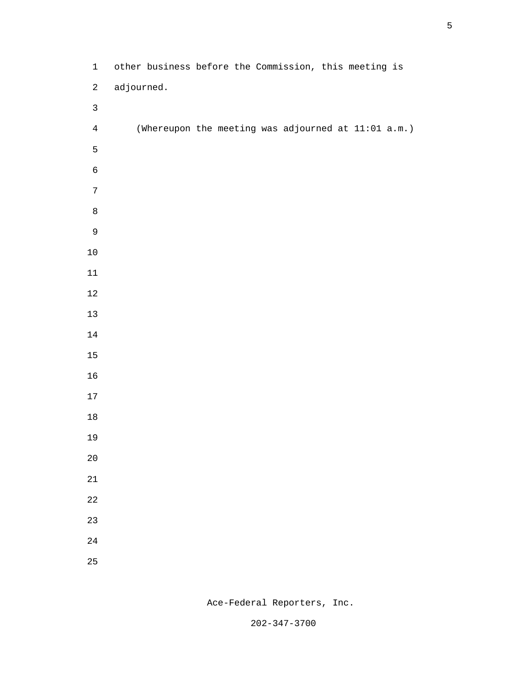| $\mathbf{1}$   |            | other business before the Commission, this meeting is |
|----------------|------------|-------------------------------------------------------|
| $\sqrt{2}$     | adjourned. |                                                       |
| $\mathsf{3}$   |            |                                                       |
| $\overline{4}$ |            | (Whereupon the meeting was adjourned at 11:01 a.m.)   |
| $\mathsf S$    |            |                                                       |
| $\epsilon$     |            |                                                       |
| $\sqrt{ }$     |            |                                                       |
| $\,8\,$        |            |                                                       |
| $\mathsf 9$    |            |                                                       |
| $10\,$         |            |                                                       |
| $11\,$         |            |                                                       |
| $12\,$         |            |                                                       |
| $13$           |            |                                                       |
| $14\,$         |            |                                                       |
| $15$           |            |                                                       |
| $16$           |            |                                                       |
| $17\,$         |            |                                                       |
| $18\,$         |            |                                                       |
| 19             |            |                                                       |
| $20\,$         |            |                                                       |
| $21\,$         |            |                                                       |
| 22             |            |                                                       |
| 23             |            |                                                       |
| $24\,$         |            |                                                       |
| 25             |            |                                                       |

Ace-Federal Reporters, Inc.